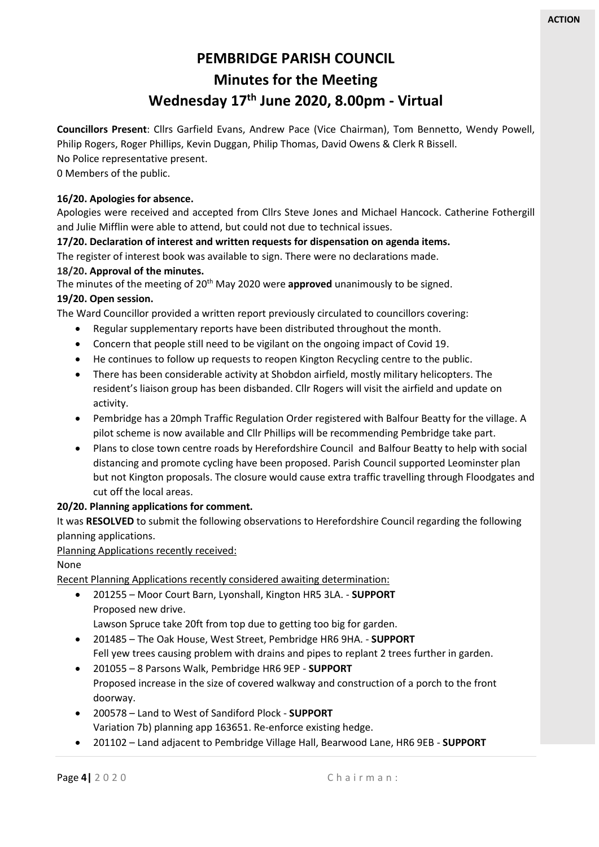# **PEMBRIDGE PARISH COUNCIL Minutes for the Meeting Wednesday 17th June 2020, 8.00pm - Virtual**

**Councillors Present**: Cllrs Garfield Evans, Andrew Pace (Vice Chairman), Tom Bennetto, Wendy Powell, Philip Rogers, Roger Phillips, Kevin Duggan, Philip Thomas, David Owens & Clerk R Bissell. No Police representative present.

0 Members of the public.

## **16/20. Apologies for absence.**

Apologies were received and accepted from Cllrs Steve Jones and Michael Hancock. Catherine Fothergill and Julie Mifflin were able to attend, but could not due to technical issues.

## **17/20. Declaration of interest and written requests for dispensation on agenda items.**

The register of interest book was available to sign. There were no declarations made.

# **18/20. Approval of the minutes.**

The minutes of the meeting of 20<sup>th</sup> May 2020 were **approved** unanimously to be signed. **19/20. Open session.**

The Ward Councillor provided a written report previously circulated to councillors covering:

- Regular supplementary reports have been distributed throughout the month.
- Concern that people still need to be vigilant on the ongoing impact of Covid 19.
- He continues to follow up requests to reopen Kington Recycling centre to the public.
- There has been considerable activity at Shobdon airfield, mostly military helicopters. The resident's liaison group has been disbanded. Cllr Rogers will visit the airfield and update on activity.
- Pembridge has a 20mph Traffic Regulation Order registered with Balfour Beatty for the village. A pilot scheme is now available and Cllr Phillips will be recommending Pembridge take part.
- Plans to close town centre roads by Herefordshire Council and Balfour Beatty to help with social distancing and promote cycling have been proposed. Parish Council supported Leominster plan but not Kington proposals. The closure would cause extra traffic travelling through Floodgates and cut off the local areas.

## **20/20. Planning applications for comment.**

It was **RESOLVED** to submit the following observations to Herefordshire Council regarding the following planning applications.

## Planning Applications recently received:

## None

Recent Planning Applications recently considered awaiting determination:

• 201255 – Moor Court Barn, Lyonshall, Kington HR5 3LA. - **SUPPORT** Proposed new drive.

Lawson Spruce take 20ft from top due to getting too big for garden.

- 201485 The Oak House, West Street, Pembridge HR6 9HA. **SUPPORT** Fell yew trees causing problem with drains and pipes to replant 2 trees further in garden.
- 201055 8 Parsons Walk, Pembridge HR6 9EP **SUPPORT** Proposed increase in the size of covered walkway and construction of a porch to the front doorway.
- 200578 Land to West of Sandiford Plock **SUPPORT** Variation 7b) planning app 163651. Re-enforce existing hedge.
- 201102 Land adjacent to Pembridge Village Hall, Bearwood Lane, HR6 9EB **SUPPORT**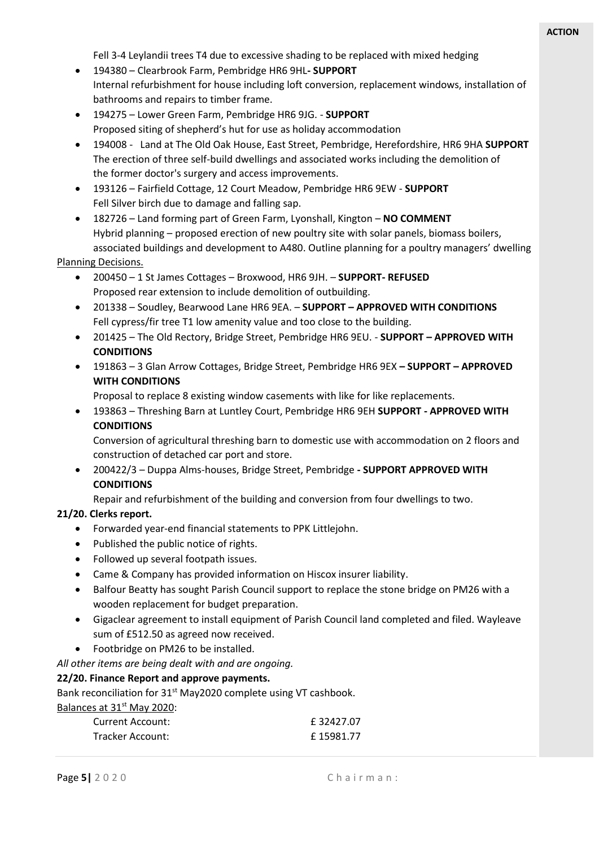Fell 3-4 Leylandii trees T4 due to excessive shading to be replaced with mixed hedging

- 194380 Clearbrook Farm, Pembridge HR6 9HL**- SUPPORT** Internal refurbishment for house including loft conversion, replacement windows, installation of bathrooms and repairs to timber frame.
- 194275 Lower Green Farm, Pembridge HR6 9JG. **SUPPORT** Proposed siting of shepherd's hut for use as holiday accommodation
- 194008 Land at The Old Oak House, East Street, Pembridge, Herefordshire, HR6 9HA **SUPPORT** The erection of three self-build dwellings and associated works including the demolition of the former doctor's surgery and access improvements.
- 193126 Fairfield Cottage, 12 Court Meadow, Pembridge HR6 9EW **SUPPORT** Fell Silver birch due to damage and falling sap.
- 182726 Land forming part of Green Farm, Lyonshall, Kington **NO COMMENT** Hybrid planning – proposed erection of new poultry site with solar panels, biomass boilers, associated buildings and development to A480. Outline planning for a poultry managers' dwelling

Planning Decisions.

- 200450 1 St James Cottages Broxwood, HR6 9JH. **SUPPORT- REFUSED** Proposed rear extension to include demolition of outbuilding.
- 201338 Soudley, Bearwood Lane HR6 9EA. **SUPPORT – APPROVED WITH CONDITIONS** Fell cypress/fir tree T1 low amenity value and too close to the building.
- 201425 The Old Rectory, Bridge Street, Pembridge HR6 9EU. **SUPPORT – APPROVED WITH CONDITIONS**
- 191863 3 Glan Arrow Cottages, Bridge Street, Pembridge HR6 9EX **– SUPPORT – APPROVED WITH CONDITIONS**

Proposal to replace 8 existing window casements with like for like replacements.

• 193863 – Threshing Barn at Luntley Court, Pembridge HR6 9EH **SUPPORT - APPROVED WITH CONDITIONS**

Conversion of agricultural threshing barn to domestic use with accommodation on 2 floors and construction of detached car port and store.

• 200422/3 – Duppa Alms-houses, Bridge Street, Pembridge **- SUPPORT APPROVED WITH CONDITIONS**

Repair and refurbishment of the building and conversion from four dwellings to two.

#### **21/20. Clerks report.**

- Forwarded year-end financial statements to PPK Littlejohn.
- Published the public notice of rights.
- Followed up several footpath issues.
- Came & Company has provided information on Hiscox insurer liability.
- Balfour Beatty has sought Parish Council support to replace the stone bridge on PM26 with a wooden replacement for budget preparation.
- Gigaclear agreement to install equipment of Parish Council land completed and filed. Wayleave sum of £512.50 as agreed now received.
- Footbridge on PM26 to be installed.

*All other items are being dealt with and are ongoing.*

## **22/20. Finance Report and approve payments.**

Bank reconciliation for 31<sup>st</sup> May2020 complete using VT cashbook.

Balances at 31<sup>st</sup> May 2020:

| Current Account:        | £32427.07  |
|-------------------------|------------|
| <b>Tracker Account:</b> | £ 15981.77 |